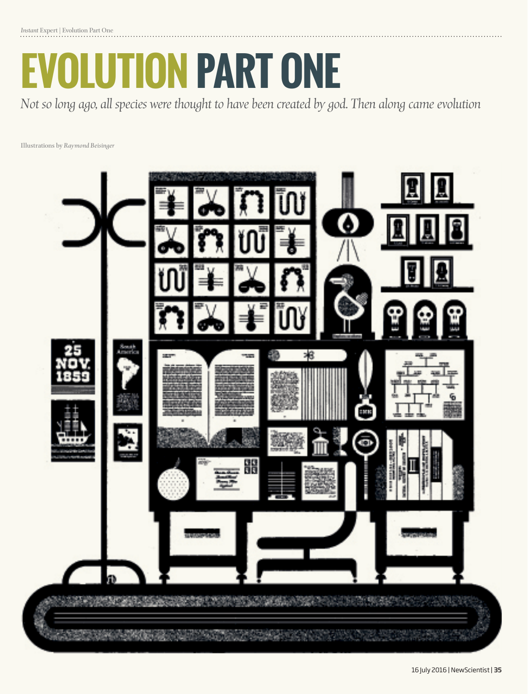# **UTION PART ONE**

*Not so long ago, all species were thought to have been created by god. Then along came evolution*

Illustrations by *Raymond Beisinger*

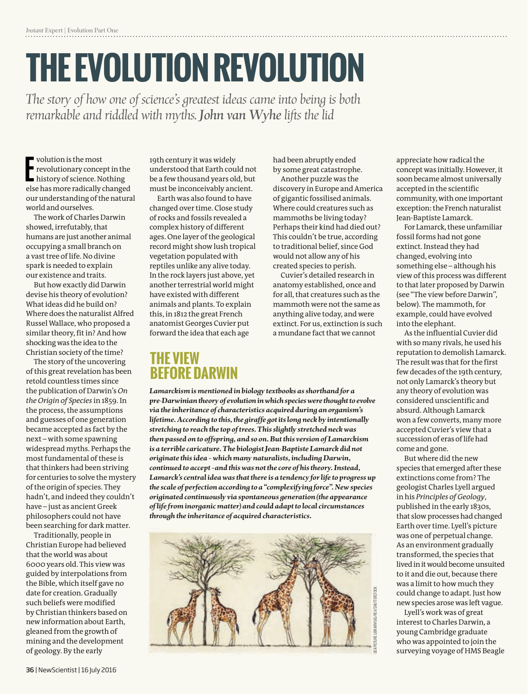## **The evolution revolution**

*The story of how one of science's greatest ideas came into being is both remarkable and riddled with myths. John van Wyhe lifts the lid* 

volution is the most<br>revolutionary concept in the history of science. Nothing<br>else has more radically change volution is the most revolutionary concept in the else has more radically changed our understanding of the natural world and ourselves.

The work of Charles Darwin showed, irrefutably, that humans are just another animal occupying a small branch on a vast tree of life. No divine spark is needed to explain our existence and traits.

But how exactly did Darwin devise his theory of evolution? What ideas did he build on? Where does the naturalist Alfred Russel Wallace, who proposed a similar theory, fit in? And how shocking was the idea to the Christian society of the time?

The story of the uncovering of this great revelation has been retold countless times since the publication of Darwin's *On the Origin of Species* in 1859. In the process, the assumptions and guesses of one generation became accepted as fact by the next – with some spawning widespread myths. Perhaps the most fundamental of these is that thinkers had been striving for centuries to solve the mystery of the origin of species. They hadn't, and indeed they couldn't have – just as ancient Greek philosophers could not have been searching for dark matter.

Traditionally, people in Christian Europe had believed that the world was about 6000years old. This view was guided by interpolations from the Bible, which itself gave no date for creation. Gradually such beliefs were modified by Christian thinkers based on new information about Earth, gleaned from the growth of mining and the development of geology. By the early

19th century it was widely understood that Earth could not be a few thousand years old, but must be inconceivably ancient.

Earth was also found to have changed over time. Close study of rocks and fossils revealed a complex history of different ages. One layer of the geological record might show lush tropical vegetation populated with reptiles unlike any alive today. In the rock layers just above, yet another terrestrial world might have existed with different animals and plants. To explain this, in 1812 the great French anatomist Georges Cuvier put forward the idea that each age

### **The view before darwin**

had been abruptly ended by some great catastrophe.

Another puzzle was the discovery in Europe and America of gigantic fossilised animals. Where could creatures such as mammoths be living today? Perhaps their kind had died out? This couldn't be true, according to traditional belief, since God would not allow any of his created species to perish.

Cuvier's detailed research in anatomy established, once and for all, that creatures such as the mammoth were not the same as anything alive today, and were extinct. For us, extinction is such a mundane fact that we cannot

*Lamarckism is mentioned in biology textbooks as shorthand for a pre-Darwinian theory of evolution in which species were thought to evolve via the inheritance of characteristics acquired during an organism's lifetime. According to this, the giraffe got its long neck by intentionally stretching to reach the top of trees. This slightly stretched neck was then passed on to offspring, and so on. But this version of Lamarckism is a terrible caricature. The biologist Jean-Baptiste Lamarck did not originate this idea – which many naturalists, including Darwin, continued to accept –and this was not the core of his theory. Instead, Lamarck's central idea was that there is a tendency for life to progress up the scale of perfection according to a "complexifying force". New species originated continuously via spontaneous generation (the appearance of life from inorganic matter) and could adapt to local circumstances through the inheritance of acquired characteristics.* 



appreciate how radical the concept was initially. However, it soon became almost universally accepted in the scientific community, with one important exception: the French naturalist Jean-Baptiste Lamarck.

For Lamarck, these unfamiliar fossil forms had not gone extinct. Instead they had changed, evolving into something else – although his view of this process was different to that later proposed by Darwin (see "The view before Darwin", below). The mammoth, for example, could have evolved into the elephant.

As the influential Cuvier did with so many rivals, he used his reputation to demolish Lamarck. The result was that for the first few decades of the 19th century, not only Lamarck's theory but any theory of evolution was considered unscientific and absurd. Although Lamarck won a few converts, many more accepted Cuvier's view that a succession of eras of life had come and gone.

But where did the new species that emerged after these extinctions come from? The geologist Charles Lyell argued in his *Principles of Geology*, published in the early 1830s, that slow processes had changed Earth over time. Lyell's picture was one of perpetual change. As an environment gradually transformed, the species that lived in it would become unsuited to it and die out, because there was a limit to how much they could change to adapt. Just how new species arose was left vague.

Lyell's work was of great interest to Charles Darwin, a young Cambridge graduate who was appointed to join the surveying voyage of HMS Beagle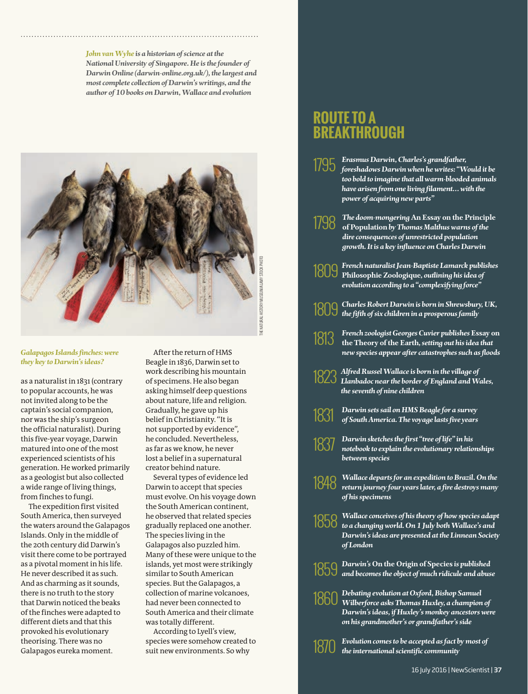*John van Wyhe is a historian of science at the National University of Singapore. He is the founder of Darwin Online (darwin-online.org.uk/), the largest and most complete collection of Darwin's writings, and the author of 10 books on Darwin, Wallace and evolution* 



The Natural History Museum/Alamy Stock Photo HENATURAL HISTORY MUSEUM/

#### *Galapagos Islands finches: were they key to Darwin's ideas?*

to popular accounts, he was notinvited along to be the captain's social companion, nor was the ship's surgeon the official naturalist). During this five-year voyage, Darwin matured into one of the most experienced scientists of his generation. He worked primarily as a geologist but also collected a wide range of living things, from finches to fungi.

The expedition first visited South America, then surveyed the waters around the Galapagos Islands. Only in the middle of the 20th century did Darwin's visit there come to be portrayed as a pivotal moment in his life. He never described it as such. And as charming as it sounds, there is no truth to the story that Darwin noticed the beaks of the finches were adapted to different diets and that this provoked his evolutionary theorising. There was no Galapagos eureka moment.

After the return of HMS Beagle in 1836, Darwin set to work describing his mountain of specimens. He also began asking himself deep questions about nature, life and religion. Gradually, he gave up his belief in Christianity. "It is not supported by evidence", he concluded. Nevertheless, as far as we know, he never lost a belief in a supernatural creator behind nature.

as a naturalist in 83) (contrary of perciments. Hen border of the contrary and the control of the finction of the deterministic in the control of the term of the contrary and the control of the contrary and the contrary a Several types of evidence led Darwin to accept that species must evolve. On his voyage down the South American continent, he observed that related species gradually replaced one another. The species living in the Galapagos also puzzled him. Many of these were unique to the islands, yet most were strikingly similar to South American species. But the Galapagos, a collection of marine volcanoes, had never been connected to South America and their climate was totally different.

According to Lyell's view, species were somehow created to suit new environments. So why

## **Route to a breakthrough**

- 1795 *Erasmus Darwin, Charles's grandfather, foreshadows Darwin when he writes: "Would it be too bold to imagine that all warm-blooded animals have arisen from one living filament… with the power of acquiring new parts"*
- 1798 *The doom-mongering* **An Essay on the Principle of Population** *by Thomas Malthus warns of the dire consequences of unrestricted population growth. It is a key influence on Charles Darwin*
- 1809 *French naturalist Jean-Baptiste Lamarck publishes*  **Philosophie Zoologique***, outlining his idea of evolution according to a "complexifying force"*
- 1809 *Charles Robert Darwin is born in Shrewsbury, UK, the fifth of six children in a prosperous family*
- 1813 *French zoologist Georges Cuvier publishes* **Essay on the Theory of the Earth***, setting out his idea that new species appear after catastrophes such as floods*
- 1823 *Alfred Russel Wallace is born in the village of Llanbadoc near the border of England and Wales, the seventh of nine children*
- 1831 *Darwin sets sail on HMS Beagle for a survey of South America. The voyage lasts five years*
- 1837 *Darwin sketches the first "tree of life" in his notebook to explain the evolutionary relationships between species*
- 1848 *Wallace departs for an expedition to Brazil. On the return journey four years later, a fire destroys many of his specimens*
- 1858 *Wallace conceives of his theory of how species adapt to a changing world. On 1 July both Wallace's and Darwin's ideas are presented at the Linnean Society of London*
- 1859 *Darwin's* **On the Origin of Species** *is published and becomes the object of much ridicule and abuse*
- 1860 *Debating evolution at Oxford, Bishop Samuel Wilberforce asks Thomas Huxley, a champion of Darwin's ideas, if Huxley's monkey ancestors were on his grandmother's or grandfather's side*
- 1870 *Evolution comes to be accepted as fact by most of the international scientific community*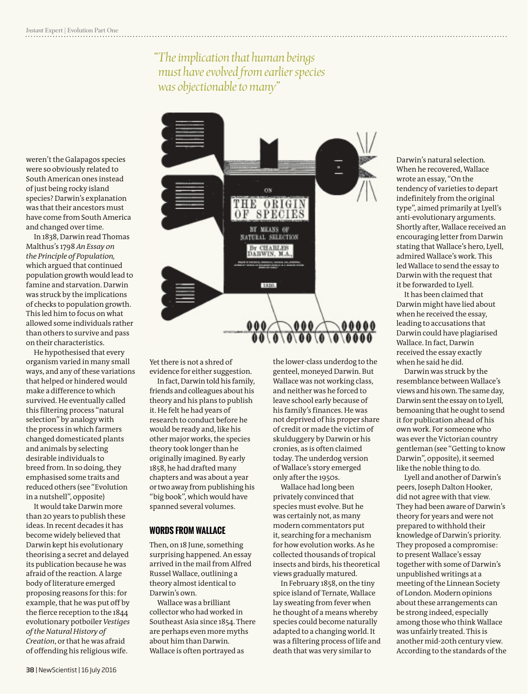#### *"The implication that human beings must have evolved from earlier species was objectionable to many"*

 $\alpha$ s THE ORIGIN OF SPECIES BY MEANS OF NATURAL SELECTION BY CHARLES<br>DARWIN, M.A. 1820. 

weren't the Galapagos species were so obviously related to South American ones instead of just being rocky island species? Darwin's explanation was that their ancestors must have come from South America and changed over time.

In 1838, Darwin read Thomas Malthus's 1798 *An Essay on the Principle of Population,*  which argued that continued population growth would lead to famine and starvation. Darwin was struck by the implications of checks to population growth. This led him to focus on what allowed some individuals rather than others to survive and pass on their characteristics.

He hypothesised that every organism varied in many small ways, and any of these variations that helped or hindered would make a difference to which survived. He eventually called this filtering process "natural selection" by analogy with the process in which farmers changed domesticated plants and animals by selecting desirable individuals to breed from. In so doing, they emphasised some traits and reduced others (see "Evolution in a nutshell", opposite)

It would take Darwin more than 20 years to publish these ideas. In recent decades it has become widely believed that Darwin kept his evolutionary theorising a secret and delayed its publication because he was afraid of the reaction. A large body of literature emerged proposing reasons for this: for example, that he was put off by the fierce reception to the 1844 evolutionary potboiler *Vestiges of the Natural History of Creation*, or that he was afraid of offending his religious wife.

Yet there is not a shred of evidence for either suggestion.

In fact, Darwin told his family, friends and colleagues about his theory and his plans to publish it. He felt he had years of research to conduct before he would be ready and, like his other major works, the species theory took longer than he originally imagined. By early 1858, he had drafted many chapters and was about a year or two away from publishing his "big book", which would have spanned several volumes.

#### **WORDS FROM Wallace**

Then, on 18 June, something surprising happened. An essay arrived in the mail from Alfred Russel Wallace, outlining a theory almost identical to Darwin's own.

Wallace was a brilliant collector who had worked in Southeast Asia since 1854. There are perhaps even more myths about him than Darwin. Wallace is often portrayed as

the lower-class underdog to the genteel, moneyed Darwin. But Wallace was not working class, and neither was he forced to leave school early because of his family's finances. He was not deprived of his proper share of credit or made the victim of skulduggery by Darwin or his cronies, as is often claimed today. The underdog version of Wallace's story emerged only after the 1950s.

Wallace had long been privately convinced that species must evolve. But he was certainly not, as many modern commentators put it, searching for a mechanism for how evolution works. As he collected thousands of tropical insects and birds, his theoretical views gradually matured.

In February 1858, on the tiny spice island of Ternate, Wallace lay sweating from fever when he thought of a means whereby species could become naturally adapted to a changing world. It was a filtering process of life and death that was very similar to

Darwin's natural selection. When he recovered, Wallace wrote an essay, "On the tendency of varieties to depart indefinitely from the original type", aimed primarily at Lyell's anti-evolutionary arguments. Shortly after, Wallace received an encouraging letter from Darwin stating that Wallace's hero, Lyell, admired Wallace's work. This led Wallace to send the essay to Darwin with the request that it be forwarded to Lyell.

It has been claimed that Darwin might have lied about when he received the essay, leading to accusations that Darwin could have plagiarised Wallace. In fact, Darwin received the essay exactly when he said he did.

Darwin was struck by the resemblance between Wallace's views and his own. The same day, Darwin sent the essay on to Lyell, bemoaning that he ought to send it for publication ahead of his own work. For someone who was ever the Victorian country gentleman (see "Getting to know Darwin", opposite), it seemed like the noble thing to do.

Lyell and another of Darwin's peers, Joseph Dalton Hooker, did not agree with that view. They had been aware of Darwin's theory for years and were not prepared to withhold their knowledge of Darwin's priority. They proposed a compromise: to present Wallace's essay together with some of Darwin's unpublished writings at a meeting of the Linnean Society of London. Modern opinions about these arrangements can be strong indeed, especially among those who think Wallace was unfairly treated. This is another mid-20th century view. According to the standards of the